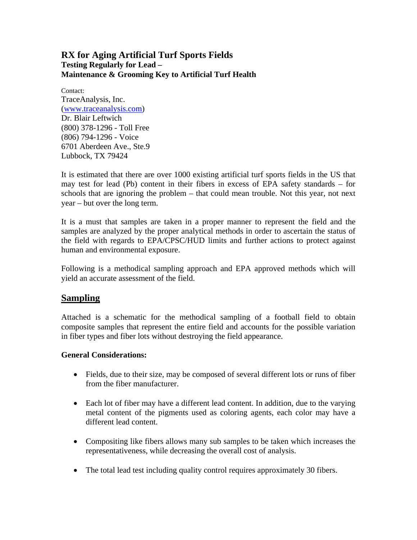### **RX for Aging Artificial Turf Sports Fields Testing Regularly for Lead – Maintenance & Grooming Key to Artificial Turf Health**

Contact: TraceAnalysis, Inc. (www.traceanalysis.com) Dr. Blair Leftwich (800) 378-1296 - Toll Free (806) 794-1296 - Voice 6701 Aberdeen Ave., Ste.9 Lubbock, TX 79424

It is estimated that there are over 1000 existing artificial turf sports fields in the US that may test for lead (Pb) content in their fibers in excess of EPA safety standards – for schools that are ignoring the problem – that could mean trouble. Not this year, not next year – but over the long term.

It is a must that samples are taken in a proper manner to represent the field and the samples are analyzed by the proper analytical methods in order to ascertain the status of the field with regards to EPA/CPSC/HUD limits and further actions to protect against human and environmental exposure.

Following is a methodical sampling approach and EPA approved methods which will yield an accurate assessment of the field.

### **Sampling**

Attached is a schematic for the methodical sampling of a football field to obtain composite samples that represent the entire field and accounts for the possible variation in fiber types and fiber lots without destroying the field appearance.

### **General Considerations:**

- Fields, due to their size, may be composed of several different lots or runs of fiber from the fiber manufacturer.
- Each lot of fiber may have a different lead content. In addition, due to the varying metal content of the pigments used as coloring agents, each color may have a different lead content.
- Compositing like fibers allows many sub samples to be taken which increases the representativeness, while decreasing the overall cost of analysis.
- The total lead test including quality control requires approximately 30 fibers.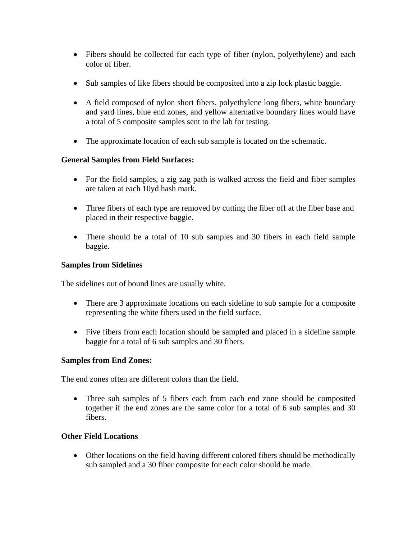- Fibers should be collected for each type of fiber (nylon, polyethylene) and each color of fiber.
- Sub samples of like fibers should be composited into a zip lock plastic baggie.
- A field composed of nylon short fibers, polyethylene long fibers, white boundary and yard lines, blue end zones, and yellow alternative boundary lines would have a total of 5 composite samples sent to the lab for testing.
- The approximate location of each sub sample is located on the schematic.

### **General Samples from Field Surfaces:**

- For the field samples, a zig zag path is walked across the field and fiber samples are taken at each 10yd hash mark.
- Three fibers of each type are removed by cutting the fiber off at the fiber base and placed in their respective baggie.
- There should be a total of 10 sub samples and 30 fibers in each field sample baggie.

### **Samples from Sidelines**

The sidelines out of bound lines are usually white.

- There are 3 approximate locations on each sideline to sub sample for a composite representing the white fibers used in the field surface.
- Five fibers from each location should be sampled and placed in a sideline sample baggie for a total of 6 sub samples and 30 fibers.

### **Samples from End Zones:**

The end zones often are different colors than the field.

• Three sub samples of 5 fibers each from each end zone should be composited together if the end zones are the same color for a total of 6 sub samples and 30 fibers.

### **Other Field Locations**

• Other locations on the field having different colored fibers should be methodically sub sampled and a 30 fiber composite for each color should be made.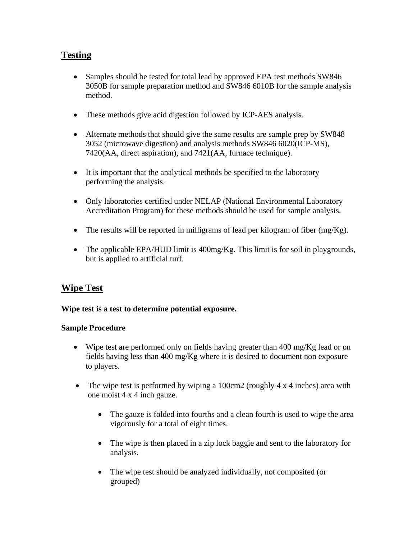# **Testing**

- Samples should be tested for total lead by approved EPA test methods SW846 3050B for sample preparation method and SW846 6010B for the sample analysis method.
- These methods give acid digestion followed by ICP-AES analysis.
- Alternate methods that should give the same results are sample prep by SW848 3052 (microwave digestion) and analysis methods SW846 6020(ICP-MS), 7420(AA, direct aspiration), and 7421(AA, furnace technique).
- It is important that the analytical methods be specified to the laboratory performing the analysis.
- Only laboratories certified under NELAP (National Environmental Laboratory Accreditation Program) for these methods should be used for sample analysis.
- The results will be reported in milligrams of lead per kilogram of fiber  $(mg/Kg)$ .
- The applicable EPA/HUD limit is 400mg/Kg. This limit is for soil in playgrounds, but is applied to artificial turf.

# **Wipe Test**

### **Wipe test is a test to determine potential exposure.**

### **Sample Procedure**

- Wipe test are performed only on fields having greater than 400 mg/Kg lead or on fields having less than 400 mg/Kg where it is desired to document non exposure to players.
- The wipe test is performed by wiping a 100cm2 (roughly 4 x 4 inches) area with one moist 4 x 4 inch gauze.
	- The gauze is folded into fourths and a clean fourth is used to wipe the area vigorously for a total of eight times.
	- The wipe is then placed in a zip lock baggie and sent to the laboratory for analysis.
	- The wipe test should be analyzed individually, not composited (or grouped)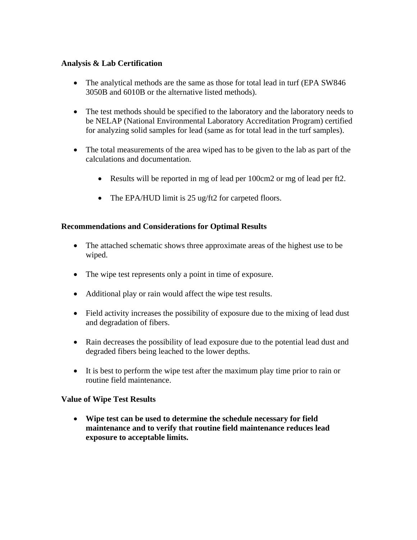#### **Analysis & Lab Certification**

- The analytical methods are the same as those for total lead in turf (EPA SW846) 3050B and 6010B or the alternative listed methods).
- The test methods should be specified to the laboratory and the laboratory needs to be NELAP (National Environmental Laboratory Accreditation Program) certified for analyzing solid samples for lead (same as for total lead in the turf samples).
- The total measurements of the area wiped has to be given to the lab as part of the calculations and documentation.
	- Results will be reported in mg of lead per 100cm2 or mg of lead per ft2.
	- The EPA/HUD limit is 25 ug/ft2 for carpeted floors.

### **Recommendations and Considerations for Optimal Results**

- The attached schematic shows three approximate areas of the highest use to be wiped.
- The wipe test represents only a point in time of exposure.
- Additional play or rain would affect the wipe test results.
- Field activity increases the possibility of exposure due to the mixing of lead dust and degradation of fibers.
- Rain decreases the possibility of lead exposure due to the potential lead dust and degraded fibers being leached to the lower depths.
- It is best to perform the wipe test after the maximum play time prior to rain or routine field maintenance.

### **Value of Wipe Test Results**

• **Wipe test can be used to determine the schedule necessary for field maintenance and to verify that routine field maintenance reduces lead exposure to acceptable limits.**